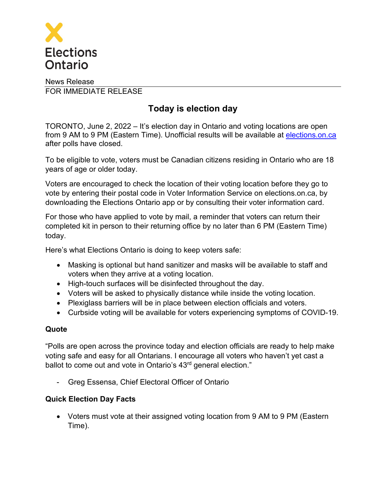

## News Release FOR IMMEDIATE RELEASE

# **Today is election day**

TORONTO, June 2, 2022 – It's election day in Ontario and voting locations are open from 9 AM to 9 PM (Eastern Time). Unofficial results will be available at [elections.on.ca](http://www.elections.on.ca/) after polls have closed.

To be eligible to vote, voters must be Canadian citizens residing in Ontario who are 18 years of age or older today.

Voters are encouraged to check the location of their voting location before they go to vote by entering their postal code in Voter Information Service on [elections.on.ca](http://elections.on.ca), by downloading the Elections Ontario app or by consulting their voter information card.

For those who have applied to vote by mail, a reminder that voters can return their completed kit in person to their returning office by no later than 6 PM (Eastern Time) today.

Here's what Elections Ontario is doing to keep voters safe:

- Masking is optional but hand sanitizer and masks will be available to staff and voters when they arrive at a voting location.
- High-touch surfaces will be disinfected throughout the day.
- Voters will be asked to physically distance while inside the voting location.
- Plexiglass barriers will be in place between election officials and voters.
- Curbside voting will be available for voters experiencing symptoms of COVID-19.

### **Quote**

"Polls are open across the province today and election officials are ready to help make voting safe and easy for all Ontarians. I encourage all voters who haven't yet cast a ballot to come out and vote in Ontario's 43<sup>rd</sup> general election."

- Greg Essensa, Chief Electoral Officer of Ontario

### **Quick Election Day Facts**

• Voters must vote at their assigned voting location from 9 AM to 9 PM (Eastern Time).